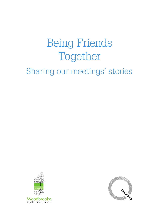# Being Friends Together

## Sharing our meetings' stories





Woodbrooke Quaker Study Centre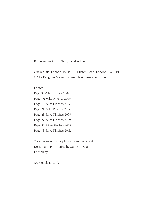Published in April 2014 by Quaker Life

Quaker Life, Friends House, 173 Euston Road, London NW1 2BJ. © The Religious Society of Friends (Quakers) in Britain.

Photos:

Page 9: Mike Pinches 2009. Page 17: Mike Pinches 2009. Page 19: Mike Pinches 2012. Page 21: Mike Pinches 2012. Page 23: Mike Pinches 2009. Page 27: Mike Pinches 2009. Page 30: Mike Pinches 2009. Page 33: Mike Pinches 2011.

Cover: A selection of photos from the report. Design and typesetting by Gabrielle Scott Printed by X

www.quaker.org.uk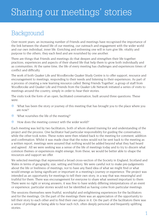### Background

Over recent years, an increasing number of Friends and meetings have recognised the importance of the link between the shared life of our meeting, our outreach and engagement with the wider world and our own individual, inner life. Enriching and enlivening one will in turn give life, vitality and purpose to the others; they each feed and are nourished by one another.

There are things that Friends and meetings do that deepen and strengthen their life together: practices, experiences and aspects of their shared life that help them to grow both individually and as communities. At the same time, the life of every meeting has challenges and experiences times of conflict and difficulty.

The work of both Quaker Life and Woodbrooke Quaker Study Centre is to offer support, resource and encouragement to meetings, responding to their needs and listening to their experiences. As part of a process of creating a new learning resource called 'Being Friends Together', a group of staff from Woodbrooke and Quaker Life and Friends from the Quaker Life Network initiated a series of visits to meetings around the country, simply in order to hear their stories.

The visits took the form of an open, facilitated conversation, built around three questions. These were:

- $*$  'What has been the story or journey of this meeting that has brought you to the place where you are now?'
- $\cdot$  'What nourishes the life of the meeting?'
- $\cdot$  'How does the meeting connect with the wider world?'

Each meeting was led by two facilitators, both of whom shared training for and understanding of the project and the process. One facilitator had particular responsibility for guiding the conversation, while the other took notes. These notes were then related back to the meeting for comment, addition and confirmation. Whilst it was made clear that the notes would not be sent back to the meeting as a written report, meetings were assured that nothing would be added beyond what they had heard and agreed. All we were seeking was a sense of the life of meetings today and to try to discern what common themes or experiences might emerge; from these, we would be better able to shape the resources and support we offer.

We selected meetings that represented a broad cross-section of the Society in England, Scotland and Wales in terms of geography, size, setting and history. We were careful not to make pre-judgements about the life or liveliness of meetings, nor to have any fixed idea of what we might find or what would emerge as being significant or important in a meeting's journey or experience. The project was intended as an opportunity for meetings to tell their own story, in a way that was meaningful and truthful for them. There was encouragement for everyone to share what seemed important to them There were no right or wrong answers; it was fine to have widely differing interpretations of an event or experience; particular stories would not be identified as having come from particular meetings.

The sessions themselves were fruitful, worshipful and enlightening experiences for the facilitators and for the meetings. On the part of the meetings there was an appreciation of the opportunity to tell their story to each other and to find their own place in it. On the part of the facilitators there was a sense of privilege at being able to hear such rich, often deeply personal and frequently uplifting stories.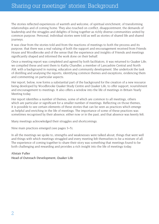The stories reflected experiences of warmth and welcome, of spiritual enrichment, of transforming relationships and of coming home. They also touched on conflict, disappointment, the demands of leadership and the struggles and delights of living together as richly diverse communities united by common purpose. Personal, individual stories were told as well as stories of shared life and shared journeys.

It was clear from the stories told and from the reactions of meetings to both the process and its purpose, that there was a real valuing of both the support and encouragement received from Friends House and Woodbrooke and of the sense that the experience and insights of Friends and meetings significantly shaped and informed the work done on their behalf.

Once a meeting report was completed and agreed by both facilitators, it was returned to Quaker Life; we compiled these and sent them to Kathy Chandler, a member of Lancashire Central and North AM, with a background in nursing, education and community development. She undertook the task of distilling and analysing the reports, identifying common themes and exceptions, evidencing them and commenting on particular aspects.

Her report, below, now forms a substantial part of the background for the creation of a new resource being developed by Woodbrooke Quaker Study Centre and Quaker Life, to offer support, nourishment and encouragement to meetings. It also offers a window into the life of meetings in Britain Yearly Meeting today.

Her report identifies a number of themes, some of which are common to all meetings, others which are particular or significant for a smaller number of meetings. Reflecting on those themes, it is possible to see certain elements of these stories that can be seen as practices which emerge as helpful and enriching in the life of meetings. The importance of some of these practices was sometimes recognised by their absence, either now or in the past, and that absence was keenly felt.

Many meetings acknowledged their struggles and shortcomings.

Nine main practices emerged (see pages 3–5).

In all the meetings we spoke to, strengths and weaknesses were talked about, things that went well and things with which meetings struggled and every meeting felt themselves to be a mixture of all. The experience of coming together to share their story was something that meetings found to be both challenging and rewarding and provides a rich insight into the life of meetings today.

#### Alistair Fuller

Head of Outreach Development, Quaker Life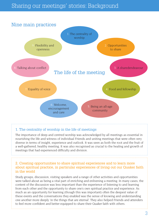### Sharing our meetings' stories: Background



#### 1. The centrality of worship in the life of meetings

The importance of deep and centred worship was acknowledged by all meetings as essential in nourishing the life and witness of individual Friends and uniting meetings that were often very diverse in terms of insight, experience and outlook. It was seen as both the root and the fruit of a well-gathered, healthy meeting. It was also recognised as crucial to the healing and growth of meetings that had experienced difficulty and division.

2. Creating opportunities to share spiritual experiences and to learn more about spiritual practice, in particular experiences of living out our Quaker faith in the world

Study groups, discussion, visiting speakers and a range of other activities and opportunities were talked about as being a vital part of enriching and enlivening a meeting. In many cases, the content of the discussion was less important than the experience of listening to and learning from each other and the opportunity to share one's own spiritual practice and experience. As much as an opportunity for learning (though this was important) often the deepest value of these events and the conversations they enabled was the sense of knowing and understanding one another more deeply 'in the things that are eternal'. They also helped Friends and attenders to feel more confident and better equipped to share their Quaker faith with others.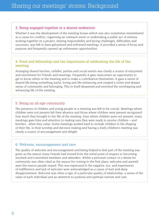#### 3. Being engaged together in a shared endeavour

Whether it was the development of the meeting house (which was also sometimes remembered as a cause for conflict), organising an outreach event or undertaking a public act of witness, working together on a project, sharing responsibility and facing challenges, difficulties and successes, was felt to have galvanised and enlivened meetings. It provided a sense of focus and purpose and frequently opened up unforeseen opportunities.

#### 4. Food and fellowship and the importance of celebrating the life of the meeting

Arranging shared lunches, ceilidhs, parties and social events was clearly a source of enjoyment and enrichment for Friends and meetings. Frequently it gave newcomers an opportunity to get to know others in the meeting and to make a contribution themselves. It gave a sense of shared life being something joyful, loving and life-enhancing and created a richer and deeper sense of community and belonging. This in itself deepened and enriched the worshipping and witnessing life of the meeting.

#### 5. Being an all-age community

The presence of children and young people in a meeting was felt to be crucial. Meetings where children were not present felt their absence and those where children were present recognised how much they brought to the life of the meeting. Even where children were not present, many meetings gave time and attention to making sure they were ready to receive children – and families - when they came. Some meetings worked hard to include children in the shaping of their life, in their worship and decision making and having a lively children's meeting was clearly a source of encouragement and delight.

#### 6. Welcome, encouragement and care

The quality of welcome and encouragement and being helped to feel part of the meeting was given as the reason many Friends had moved from the initial point of enquiry to becoming involved and committed members and attenders. Whilst a personal contact or a desire for community was often cited as the reason for coming in the first place, welcome and warmth were the reason people stayed. This was expressed in the negative, too, and experiences of indifference and lack of welcome were acknowledged as a cause of hurt and deep disappointment. Welcome was often a sign of a particular quality of relationship; a sense of the value of each individual and an attention to pastoral and spiritual nurture and care.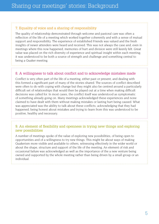#### 7. Equality of voice and a sharing of responsibility

The quality of relationship demonstrated through welcome and pastoral care was often a reflection of the life of a meeting which worked together coherently and with a sense of mutual support and responsibility. The experience of established Friends was valued and the fresh insights of newer attenders were heard and received. This was not always the case and, even in meetings where this now happened, memories of hurt and division were still keenly felt. Great value was placed on the rich diversity of experience and spiritual insight within each meeting; it was understood to be both a source of strength and challenge and something central to being a Quaker meeting.

#### 8. A willingness to talk about conflict and to acknowledge mistakes made

Conflict is very often part of the life of a meeting, either past or present, and dealing with this formed a significant part of many of the stories shared. The sources of conflict described were often to do with coping with change but they might also be centred around a particularly difficult set of relationships that would then be played out at a time when making difficult decisions was called for. In most cases, the conflict itself was understood as symptomatic of something already going on. Many meetings acknowledged these experiences and none claimed to have dealt with them without making mistakes or lasting hurt being caused. What was appreciated was the ability to talk about these conflicts; acknowledging that they had happened, being honest about mistakes and trying to learn from this was understood to be positive, healthy and necessary.

#### 9. An element of flexibility and openness in trying new things and exploring new possibilities

A number of meetings spoke of the value of exploring new possibilities, of being open to opportunities and of a willingness to try new things. This might be about ways of making Quakerism more visible and available to others, witnessing effectively in the wider world or about the shape, structure and support of the life of the meeting. An element of risk and occasional failure was acknowledged as well as the importance of the a new venture being owned and supported by the whole meeting rather than being driven by a small group or an individual.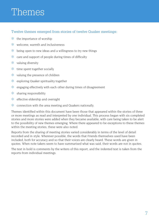# Themes

#### Twelve themes emerged from stories of twelve Quaker meetings:

- $\cdot$  the importance of worship
- $\cdot$  welcome, warmth and inclusiveness
- $\ast$  being open to new ideas and a willingness to try new things
- $\ast$  care and support of people during times of difficulty
- $\ast$  valuing diversity
- $\cdot$  time spent together socially
- $\ast$  valuing the presence of children
- $\ast$  exploring Quaker spirituality together
- $\cdot$  engaging effectively with each other during times of disagreement
- $\ast$  sharing responsibility
- $\cdot$  effective eldership and oversight
- $\ast$  connection with the area meeting and Quakers nationally.

Themes identified within this document have been those that appeared within the stories of three or more meetings as read and interpreted by one individual. This process began with six completed stories and more stories were added when they became available, with care being taken to be alert to the possibility of new themes emerging. Where there appeared to be exceptions to these themes within the meeting stories, these were also noted.

Reports from the sharing of meeting stories varied considerably in terms of the level of detail recorded and in style. Wherever possible, the words that Friends themselves used have been included, both for accuracy and so that their voices are clearly heard. These words are given in quotes. When note takers seem to have summarised what was said, their words are not in quotes.

The text in bold is comments by the writers of this report, and the indented text is taken from the reports from individual meetings.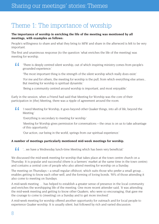### Theme 1: The importance of worship

#### **The importance of worship in enriching the life of the meeting was mentioned by all meetings, with examples as follows:**

People's willingness to share and what they bring to MfW and share in the afterword is felt to be very important.

The first and unanimous response [to the question 'what enriches the life of the meeting] was meeting for worship.

 $\sim$ 'There is deeply centred silent worship, out of which inspiring ministry comes from people's grounded experience.'

'The most important thing is the strength of the silent worship which really does exist.'

'For me and for others, the meeting for worship is the pull, from which everything else arises... But meeting for worship is spiritual dynamite.'

'Being a community centred around worship is important, and most enjoyable.'

Early in the session, when a Friend had said that Meeting for Worship was the core of their participation in [the] Meeting, there was a ripple of agreement around the room.

44 'I need Meeting for Worship, it goes beyond other Quaker things, into all of life, beyond the Meeting.'

'Everything is secondary to meeting for worship.'

'Meeting for Worship gives permission for conversations – the onus is on us to take advantage of this opportunity.'

'Our action, our being in the world, springs from our spiritual experience.'

#### **A number of meetings particularly mentioned mid-week meetings for worship.**

44 '…we have a Wednesday lunch-time Meeting which has been very beneficial.'

We discussed the mid-week meeting for worship that takes place at the town centre church on a Thursday. It is popular and successful (there is a farmers' market at the same time in the town centre) and contains a central core of people who also attend meeting for worship on a Sunday.

The meeting on Thursdays – a small regular offshoot, which suits those who prefer a small group... enables getting to know each other well, and the forming of loving bonds. 50% of those attending it also come to meeting on Sundays.

A mid-week meeting … has helped to establish a greater sense of presence in the local community and enriches the worshipping life of the meeting. One more recent attender said, 'It was attending the mid-week meeting and getting to know other Quakers, who were so encouraging, that gave me the courage to come to [meeting] on a Sunday and to get more involved.'

A mid-week meeting for worship offered another opportunity for outreach and for local people to experience Quaker worship. It is usually silent, but followed by rich and varied discussion.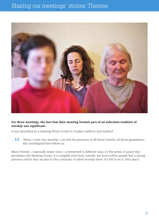### Sharing our meetings' stories: Themes



#### **For three meetings, the fact that their meeting formed part of an unbroken tradition of worship was significant:**

It was described as a meeting firmly rooted in Quaker tradition and method…

44 'When I come into worship, I can feel the presence of all those Friends, all those generations, who worshipped here before us.'

Many Friends – especially newer ones – commented in different ways on the sense of peace that permeates the Meeting House; it is tangible even from outside, but from within people feel a strong presence which they ascribe to the continuity of silent worship there. It's felt to be a "thin place".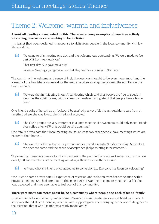### Theme 2: Welcome, warmth and inclusiveness

#### **Almost all meetings commented on this. There were many examples of meetings actively welcoming newcomers and seeking to be inclusive:**

...a leaflet [had been designed] in response to visits from people in the local community with low literacy skills.

 $\sqrt{2}$ 'We came to this meeting one day, and the welcome was outstanding. We were made to feel part of it from very early on.'

'That first day, Sue gave me a hug.'

'In some Meetings you get a sense that they feel 'we are select'. Not here.'

The warmth of the welcome and sense of inclusiveness was thought to be even more important: the warmth of the handshake on arrival, or the welcome when an enquirer phoned the number on the board outside.

 $\sqrt{2}$ 'We were the first Meeting in our Area Meeting which said that people are free to speak in Welsh as the spirit moves, with no need to translate. I am grateful that people have a home here.'

One Friend spoke of herself as an 'awkward bugger' who always felt like an outsider, apart from at meeting, where she was loved, cherished and accepted.

 $\sim$ 'The circle groups are very important in a large meeting. If newcomers could only meet Friends over coffee after MfW that would be very daunting.'

One family drives past their local meeting house; at least two other people have meetings which are nearer to their home…

 $\sqrt{2}$ 'The warmth of the welcome…a permanent home and a regular Sunday meeting. Most of all, the open welcome and the sense of acceptance [helps to bring in newcomers]'.

The meeting house welcomes a lot of visitors during the year; in the previous twelve months this was over 1,000 and members of the meeting are always there to show them around.

 $\sim$ 'A friend who is a Friend encouraged us to come along… Everyone has been so welcoming.'

One Friend shared a very painful experience of rejection and isolation from her association with a previous meeting. She had come to [to this meeting] not wanting to come to meeting but felt she 'was accepted and have been able to feel part of this community'.

#### **There were many comments about being a community where people see each other as 'family'.**

…he felt he had found a family and a home. These words and sentiments were echoed by others. A story was shared about kindness, welcome and support given when bringing her newborn daughter to the Meeting, that it was like finding a ready-made family.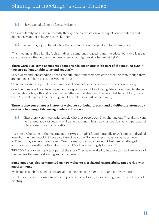#### $\sqrt{2}$ 'I have gained a family, I feel so welcome.'

The word 'family' was used repeatedly through the conversation, a feeling of connectedness and dependency and of belonging to each other.

 $\sqrt{2}$ 'We are very open. The Meeting House is much loved, a great joy, like a family home.'

'This meeting is like a family. A bit untidy and sometimes ragged round the edges, but there is great care for one another and a willingness to try what might work, what might help.'

#### **There were also some comments about Friends continuing to be part of the meeting even if they are no longer able to attend regularly:**

Very elderly and longstanding Friends are still important members of the Meeting even though they are no longer able to get to the Meeting House.

There are a variety of people who have moved away but who come back to [the weekend away].

One Friend recalled how being loved and accepted as a child and young Friend continued to shape her daughter's life, although she no longer attended meeting. Another said that her children, now in their 20's, still regarded the meeting and its members as part of their family.

#### **There is also sometimes a history of welcome not being present and a deliberate attempt by everyone to change this having made a difference.**

44 'Then there were these awful people who shut people out. They shut me out. They didn't want me. I stayed away for years, then I came back and things had changed. It is very important not to let cliques run an organisation.'

…a Friend who came to the meeting in the 1980's… hadn't found it friendly or welcoming. Individuals were, but the meeting didn't have a culture of welcome. Someone less robust or perhaps newer to Friends may well not have stayed. Over the years, this had changed; it had been challenged, acknowledged, wrestled with and worked on it 'and have got hugely better at it'.

WELCOME is now an important part of the story. They have worked to improve this and are aware of the fine line between welcoming and 'smothering'.

#### **Some meetings also commented on how welcome is a shared responsibility (an overlap with another theme):**

'Welcome is a job for all of us. We are all the meeting; it's no one's job...and it's everyone's.'

People have become conscious of the importance of welcome, as something that involves the whole meeting.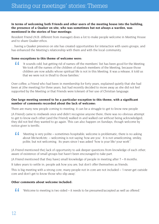#### **In terms of welcoming both Friends and other users of the meeting house into the building, the presence of a Quaker on site, who was sometimes but not always a warden, was mentioned in the stories of four meetings:**

Resident Friend (N.B. different from manager) does a lot to make people welcome in Meeting House and to share Quaker ethos.

…having a Quaker presence on site has created opportunities for interaction with users groups, and has enhanced the Meeting's relationship with them and with the local community.

#### **Some exceptions to this theme of welcome were:**

44 'It sounds odd, but getting rid of names off the members' list has been good for the Meeting. We took off the names of the children of staunch members of the Meeting, because those children are now adults whose spiritual life is not in this Meeting. It was a release, it told us that we were not in thrall to those families.'

Over coffee, a Friend who had been in membership for forty years, explained quietly that she had been at [the meeting] for three years, but had recently decided to move away as she did not feel supported by the Meeting or that Friends were tolerant of her use of Christian language.

#### **One large meeting seemed to be a particular exception to this theme, with a significant number of comments recorded about the lack of welcome:**

There are many new people coming to meeting; it can be a struggle to get to know new people

[A Friend] came to midweek once and didn't recognise anyone there; there was no obvious attempt to get to know each other [and the Friend] walked in and walked out without being acknowledged; they did not feel they wanted to go again. This can also happen on Sundays, though welcome by notice giver is terrific.

 $\overline{1}$ 'Meeting is very polite – sometimes hospitable; welcome is problematic; there is no asking about life/work/etc. – welcoming is not saying 'how are you'. It is not unwelcoming, smiley, polite, but not welcoming. Its years since I was asked "how is your life/ your work".'

[A Friend mentioned the] lack of opportunity to ask deeper questions from knowledge of each other: aware of existence of small groups but hasn't been encouraged to take part.

 $[A]$  Friend mentioned that they havel small knowledge of people in meeting after  $7 - 8$  months.

It takes years to settle in; people ask how you are, but don't offer themselves as friends.

This is big meeting with a strong core; many people not in core are not included – 'I never get outside core and don't get to know those who slip away'.

#### **Other comments about welcome included:**

 $\overline{1}$ 'Welcome to meeting is two sided – it needs to be presumed/accepted as well as offered.'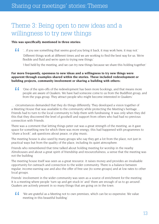### Theme 3: Being open to new ideas and a willingness to try new things

#### **This was specifically mentioned in three stories:**

44 '…if you see something that seems good you bring it back, it may work here, it may not.' 'Different things work at different times and we are working to find the best way for us. We're flexible and fluid and we're open to trying new things.'

'I feel held by the meeting, and we can try new things because we share this holding together.'

#### **Far more frequently, openness to new ideas and a willingness to try new things were apparent through examples shared within the stories. These included redevelopment or building projects, community involvement or sharing a building with others:**

44 'One of the spin-offs of the redevelopment has been more bookings, and that means more people are aware of Quakers. We have had someone come to us from the Buddhist group, and from the yoga group. They attract people who might become interested in Quakers.'

… circumstances demanded that they do things differently. They developed a vision together of a Meeting House that was available to the community while protecting the Meeting's heritage… Friends had to turn to the local community to help them with fundraising. It was only when they did this that they discovered the level of goodwill and support from others who had had no previous connection with Friends.

There was a comment that letting things peter out was a great strength of the meeting, as it gave space for something new for which there was more energy; this had happened with programmes to "share a book", ask questions about peace, or play music.

The meeting house is also used by many groups who say they get a lot from the place, not just in practical ways but from the quality of the place, including its quiet atmosphere.

Friends who remembered that time talked about holding meeting for worship in the nearby Almshouses and about a great spirit of friendship and resourcefulness, a sense that the meeting was not the building

The meeting house itself was seen as a great resource: it raises money and provides an invaluable opportunity for outreach and connection to the wider community. There is a balance between regular, income-earning use and also the offer of free use [to some groups] and at low rates to other local groups.

Friends' involvement in the wider community was seen as a source of enrichment for the meeting. It is a meeting where people 'turn up and get stuck in' and 'there are enough of us to go around'. Quakers are actively present in so many things that are going on in the town.

44 'We are grateful as a Meeting not to own premises, which can be so expensive. We value meeting in this beautiful building.'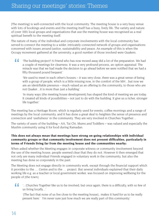[The meeting] is well-connected with the local community. The meeting house is a very busy venue with lots of bookings and events and the meeting itself has a busy, lively life. The variety and nature of (over 100) local groups and organisations that use the meeting house was recognised as a real spiritual benefit to the meeting itself.

The nature of many of the individual and corporate involvements with the local community has served to connect the meeting to a wider, intricately connected network of groups and organisations concerned with issues around justice, sustainability and peace. An example of this is when the Occupy movement gathered at the university, a good number of those involved were Quakers.

44 'The building project? A Friend who has now moved away did a lot of the preparation. We had a couple of meetings for clearness. It was a very profound process, an option appraisal. The miracle was that we had made the decision to go ahead before we were notified that we had a fifty thousand pound bequest.'

'We used to meet in each other's houses – it was very close, there was a great sense of being with a group of people, which is a little missing now, in the comfort of the MH...but now we are an identifiable presence – much valued as an offering to the community, to those who are not Quaker…it is more than just a building.'

'In many ways [the meeting house development] has shaped the kind of meeting we are today. It created all kinds of possibilities – not just to do with the building. It give us a richer, stronger life together.'

The meeting has a Heritage Room, which is regularly used for events, coffee mornings and a range of meetings by the local community, and it has done a great deal to heighten the sense of presence and connection and 'usefulness' in the community. They are very involved in Churches Together…

The variety of users of the building – AA, Tai Chi, Mums and Toddlers – was valued and especially the Muslim community using it for food during Ramadan.

#### **This does not always mean that meetings have strong on-going relationships with individual community groups or that community involvement does not present difficulties, particularly in terms of Friends living far from the meeting house and the communities nearby:**

When asked whether the Meeting engages in corporate witness or community involvement beyond the use of the meeting house, people seemed clear that they do not. However it then emerged that not only are many individual Friends engaged in voluntary work in the community, but also the meeting has done so corporately in the past.

The Meeting does not engage directly in community work, except through the financial support which it provides to the … Centre and to the … project. But several individuals explained that their daily working life e.g. as a teacher or local government worker, was focused on improving wellbeing for the people of [the town].

" '…Churches Together like us to be involved, but once again, there is a difficulty, with so few of us living locally…'

'[The fact that none of us live close to the meeting house].. makes it hard for us to be really present here.' 'I'm never sure just how much we are really part of this community.'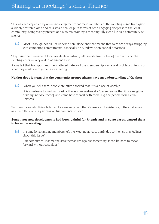This was accompanied by an acknowledgement that most members of the meeting came from quite a widely scattered area and this was a challenge in terms of both engaging deeply with the local community, being visibly present and also maintaining a meaningfully close life as a community of friends.

 $\sqrt{2}$ 'Most – though not all - of us come here alone and that means that were are always struggling with competing commitments, especially on Sundays or on special occasions.'

They miss the presence of local residents – virtually all Friends live [outside] the town, and the meeting covers a very wide 'catchment area'.

It was felt that transport and the scattered nature of the membership was a real problem in terms of what they could do together as a meeting…

#### **Neither does it mean that the community groups always have an understanding of Quakers:**

44 'When you tell them, people are quite shocked that it is a place of worship.'

'It is a sadness to me that most of the asylum seekers don't even realise that it is a religious building, nor do [those] who come here to work with them, e.g. the people from Social Services.'

So often those who Friends talked to were surprised that Quakers still existed or, if they did know, assumed they were a puritanical, fundamentalist sect.

#### **Sometimes new developments had been painful for Friends and in some cases, caused them to leave the meeting:**

44 '…some longstanding members left the Meeting at least partly due to their strong feelings about this issue.'

'But sometimes, if someone sets themselves against something, it can be hard to move forward without casualties.'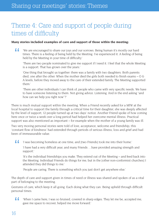### Theme 4: Care and support of people during times of difficulty

#### **Many stories included examples of care and support of those within the meeting:**

44 'We are encouraged to share our joys and our sorrows. Being human it's mostly our hard times. There is a feeling of being held by the Meeting. I've experienced it. A feeling of being held by the Meeting in your time of difficulty.'

'There are two people nominated to give me support if I need it. I feel that the whole Meeting is a support. That has grown over the years.'

'One thing that brought us together: there was a family with two daughters. Both parents died, one after the other. When the mother died the girls both needed to finish exams  $-$  O & A levels, before they moved away to the care of their extended family. The Meeting supported them.'

'There are other individuals I can think of, people who came with very specific needs. We have to have someone listening to them. Not giving advice. Listening. And in the end asking "and how can we help you right now"?'

There is much mutual support within the meeting. When a Friend recently asked for a MfW at the local hospital to support the family through a critical time for their daughter, she was deeply affected by the level of support; 12 people turned up at two days' notice. Another Friend spoke of how coming here once or twice a week over a long period had helped her overcome mental illness. Practical support was also mentioned as important – for example when the mother of a young family was ill.

Two very moving personal stories were told of love, acceptance, welcome and friendship; this 'constant flow of kindness' had extended through periods of serious illness, loss and grief and had been of immeasurable value.

 $\sqrt{2}$ 'I was becoming homeless at one time, and [two Friends] took me into their home.'

'I have had a very difficult year, and many Friends …have provided amazing strength and support.'

'It's the individual friendships you make. They extend out of the Meeting – and feed back into the Meeting. Individual Friends do things for me, but in the [other non-conformist churches] I attended they did things to me.'

'People are caring. There is something which you just don't get anywhere else.'

The depth of care and support given in times of need or illness was shared and spoken of as a vital part of belonging to the meeting.

Gestures of care, which keep it all going. Each doing what they can. Being upheld through difficult personal times.

 $\overline{11}$ 'When I came here, I was so bruised, covered in sharp edges. They let me be, accepted me, gave me space to recover, helped me move forward.'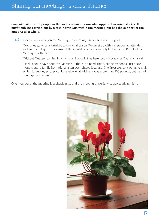**Care and support of people in the local community was also apparent in some stories. It might only be carried out by a few individuals within the meeting but has the support of the meeting as a whole.**

77 'Once a week we open the Meeting House to asylum seekers and refugees.'

'Two of us go once a fortnight to the local prison. We meet up with a member, an attender, and another chap too. Because of the regulations there can only be two of us. But I feel the Meeting is with me.'

'Without Quakers coming in to prisons, I wouldn't be here today. Hooray for Quaker chaplains.'

'I feel I should say about this Meeting: if there is a need, this Meeting responds. Just a few months ago, a family from Afghanistan was refused legal aid. The Treasurer sent out an e-mail asking for money so they could receive legal advice. It was more than 900 pounds, but he had it in days, and more.'

One member of the meeting is a chaplain … and the meeting prayerfully supports his ministry.

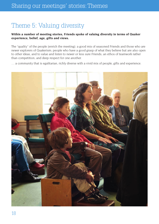### Theme 5: Valuing diversity

#### **Within a number of meeting stories, Friends spoke of valuing diversity in terms of Quaker experience, belief, age, gifts and views.**

The "quality" of the people [enrich the meeting]: a good mix of seasoned Friends and those who are newer explorers of Quakerism; people who have a good grasp of what they believe but are also open to other ideas, and to value and listen to newer or less sure Friends; an ethos of teamwork rather than competition; and deep respect for one another.

… a community that is egalitarian, richly diverse with a vivid mix of people, gifts and experience.

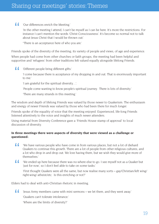#### 'Our differences enrich the Meeting.'

'In the other meeting I attend, I can't be myself as I can be here. It's more the restrictions. For instance I can't mention the words 'Christ Consciousness'. It's become so normal not to talk about Jesus Christ that I would be thrown out'

"There is an acceptance here of who you are.'

Friends spoke of the diversity of the meeting; its variety of people and views, of age and experience.

When people had come from other churches or faith groups, the meeting had been helpful and supportive and 'refugees' from other traditions felt valued equally alongside lifelong Friends.

#### $\sqrt{2}$ 'Different people bring different gifts.'

'I come because there is acceptance of my dropping in and out. That is enormously important to me.'

'I am grateful for the spiritual diversity…'.

'People come wanting to know people's spiritual journey. There is lots of diversity.'

'There are many strands in this meeting.'

The wisdom and depth of lifelong Friends was valued by those newer to Quakerism. The enthusiasm and energy of newer Friends was valued by those who had been there for much longer.

Friends spoke of the equality of voice that the meeting enjoyed. Experienced, life-long Friends listened attentively to the voice and insights of much newer attenders.

Using material from Diversity Conference gave a 'Friends House stamp of approval' to local discussion of diversity.

#### **In three meetings there were aspects of diversity that were viewed as a challenge or questioned:**

- $\overline{L}$ 'We have various people who have come in from various places, but not a lot of diehard Quakers to continue this growth. There are a lot of people from other religious cultures, and a lot who drop in and drop out. We love having them, but we wish they would give more of themselves.'
- $\sim$ 'We ended up here because there was no-where else to go. I see myself not as a Quaker but 'just for now', so I don't feel able to take on some tasks.'

'First thought Quakers were all the same, but now realise many sorts – gay/Christian/left wing/ right-wing/ atheist/etc. Is this enriching or not?'

Elders had to deal with anti-Christian rhetoric in meeting.

44 'Jesus Army members came with mini sermons – we let them, and they went away.'

'Quakers can't tolerate intolerance.'

'Where are the limits of diversity?'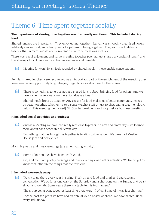### Theme 6: Time spent together socially

#### **The importance of sharing time together was frequently mentioned. This included sharing food:**

Shared lunches are important… They enjoy eating together! Lunch was smoothly organised, lovely relatively simple food, and clearly part of a pattern of being together. They sat round tables (with tablecloths!) refectory-style and conversation over the meal was inclusive.

There was a real enjoyment and value in eating together (we had just shared a wonderful lunch) and the sharing of food has clear spiritual as well as social benefits.

44 'Meeting for worship is nicely rounded by shared meals – these enable conversations.'

Regular shared lunches were recognised as an important part of the enrichment of the meeting; they were seen as an opportunity to go deeper, to get to know about each other's lives.

 $\sqrt{2}$ 'There is something generous about a shared lunch, about bringing food for others. And we have some marvellous cooks here; it's always a treat.'

'Shared meals bring us together. Any excuse for food makes us a better community, makes us better together. Whether it's to discuss weighty stuff or just to chat, eating together always helps.' [This meeting mentioned] 5th Sunday breakfasts and soup before business meeting.

#### **It included social activities and outings:**

 $\sim$ 'And as a Meeting we have had really nice days together. An arts and crafts day – we learned more about each other, in a different way.'

'Something that has brought us together is tending to the garden. We have had Meeting House jam and herb jellies.'

Monthly poetry and music evenings [are an enriching activity].

'Some of our outings have been really good.'

'Oh, and there are poetry evenings and music evenings, and other activities. We like to get to know each other in the things that are frivolous.'

#### **It included weekends away:**

44 'We try to go there every year in spring. Fresh air and food and drink and exercise and conversation. We go for a long walk on the Saturday and a short one on the Sunday and we sit about and we talk. Some years there is a table tennis tournament.'

'The group going away together. Last time there were 19 of us. Some of it was just chatting.'

'For the past ten years we have had an annual youth hostel weekend. We have shared lunch every 3rd Sunday.'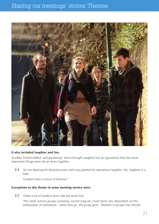### Sharing our meetings' stories: Themes



#### **It also included laughter and fun:**

Another Friend added "and gardening" which brought laughter but an agreement that the most important things were those done together.

44 'At one Meeting for Business every item was greeted by uproarious laughter. Yes, laughter is a help.'

'Quakers have a sense of humour!'

#### **Exceptions to this theme in some meeting stories were:**

 $\overline{11}$ 'Quite a lot of Quakers don't like the word 'fun'.'

> 'The small activity groups (painting, sacred song etc.) have been very dependent on the enthusiasm of individuals – when they go, the group goes. Number of groups has shrunk.'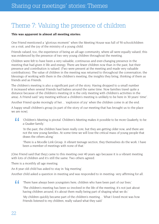### Theme 7: Valuing the presence of children

#### **This was apparent in almost all meeting stories:**

One Friend mentioned a "glorious moment" when the Meeting House was full of 50 schoolchildren on a visit, and the joy of the ministry of a young child.

Friends valued, too, the experience of being an all-age community, where all were equally valued; this was evidenced by the presence of two very young children throughout the meeting.

Children were felt to have been a very valuable, continuous and ever-changing presence in the meeting that had given it life and energy. There are fewer children now than in the past, but their presence and contribution is valued. (Two were present at the meeting and made very valuable contributions). The value of children in the meeting was returned to throughout the conversation; the blessings of working with them in the children's meeting, the insights they bring, thinking of them as friends and as Friends.

The children's meeting is also a significant part of the story. Having dropped to a small number it increased when several Friends had babies around the same time. Now families travel quite a distance because of the children's meeting (it is the only meeting with children's activities in the area). A Friend said "any meeting without a children's meeting is unlikely to be here in 30 years' time".

Another Friend spoke movingly of her… 'explosion of joy' when the children come in at the end.

A happy small children's group [is part of the story of our meeting that has brought us to the place we are nowl.

 $\sqrt{2}$ 'Children's Meeting is pivotal. Children's Meeting makes it possible to be more Quakerly, to be a Quaker family.'

'In the past, the children have been really core, but they are getting older now, and there are not the new young families. At some time we will lose the critical mass of young people that draws the others along.'

'There is a Moodle Link Group. A vibrant teenage section, they themselves do the work. I have been a member of meetings with none of that.'

[One Friend said that they] came to this meeting over 40 years ago because it is a vibrant meeting with lots of children and it's still the same. Two others agreed.

There is a monthly all age meeting.

An 8 year old child has asked to stay in 'big meeting'.

Another child asked a question in meeting and was responded to in meeting- very affirming for all.

 $\sqrt{2}$ 'There have always been youngsters here, children who have been part of our lives.'

'The children's meeting has been so involved in the life of the meeting; it's not just about having children around, it's about them really being part of shaping what we do.'

'My children quickly became part of the children's meeting… What I loved most was how Friends listened to my children, really valued what they said.'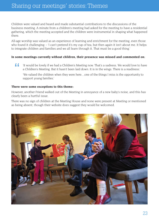### Sharing our meetings' stories: Themes

Children were valued and heard and made substantial contributions to the discussions of the business meeting. A minute from a children's meeting had asked for the meeting to have a residential gathering, which the meeting accepted and the children were instrumental in shaping what happened there.

All-age worship was valued as an experience of learning and enrichment for the meeting, even those who found it challenging: - 'I can't pretend it's my cup of tea, but then again it isn't about me. It helps to integrate children and families and we all learn through it. That must be a good thing.'

#### **In some meetings currently without children, their presence was missed and commented on:**

 $\sim$ 'It would be lovely if we had a Children's Meeting now. That's a sadness. We would love to have a Children's Meeting. But it hasn't been laid down. It is in the wings. There is a readiness.'

'We valued the children when they were here…one of the things I miss is the opportunity to support young families.'

#### **There were some exceptions to this theme:**

However, another Friend walked out of the Meeting in annoyance of a new baby's noise, and this has clearly been a hurtful issue.

There was no sign of children at the Meeting House and none were present at Meeting or mentioned as being absent, though their website does suggest they would be welcomed.

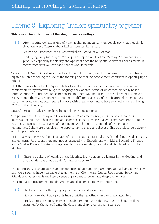### Theme 8: Exploring Quaker spirituality together

#### **This was an important part of the story of many meetings.**

 $\sqrt{2}$ 'After Meeting we have a kind of worship sharing meeting, when people say what they think about the topic. There is about half an hour for discussion.'

'We had an Experiment with Light workshop. I got a lot out of that.'

'Underlying every Meeting for Worship is the spiritual life of the Meeting. Yes friendship is good, but especially in this day and age what does the Religious Society of Friends mean? It means nothing if you can't see 'that of God' in people.'

Two series of Quaker Quest meetings have been held recently, and the preparation for them had a big impact on deepening the Life of the meeting and making people more confident in opening up to others

I felt there was a high level of 'spiritual/theological articulateness' in the group – people seemed comfortable using whatever religious language they wanted, some of which was biblically based (often coming from prior church experience), and there was free use of terms like ministry, prayer, etc. Although there was reference to theological difference as a significant feature of the meeting's story, the group we met with seemed at ease with themselves and to have reached a place of being 'OK' with their theology.

Several series of study groups have been held in the recent past.

The programme of 'Learning and Growing in Faith' was mentioned, where people share their journeys, their stories, their insights and experiences of living as Quakers. There were opportunities to openly discuss the experience of meeting for worship or the demands of living out our testimonies. Others are then given the opportunity to share and discuss. This was felt to be a deeply enriching experience.

[It is] …a Meeting where there is a habit of learning, about spiritual growth and about Quaker history and concerns. At present there are groups engaged with Experiment with Light, Becoming Friends, and a Quaker Economics study group. New books are regularly bought and circulated within the Meeting.

 $\sqrt{2}$ 'There is a culture of learning in the Meeting. Every person is a learner in the Meeting, and that includes the ones who don't much read books.'

The opportunity to share stories and experiences of faith and to learn more about living our Quaker faith were seen as hugely valuable. Age gathering at Glenthorne, Quaker book group, Becoming Friends and other events enabled a sense of profound knowing and deep connection.

The exploration (Becoming Friends) groups are also considered very important.

 $\sqrt{2}$ 'The Experiment with Light group is enriching and grounding.'

'I know more about how people here think than at other churches I have attended.'

'Study groups are amazing. Even though I am too busy right now to go to them, I still feel sustained by them. I still write the date in my diary, even though I can't go.'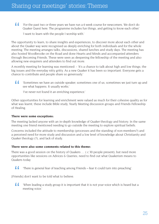44 'For the past two or three years we have run a 6 week course for newcomers. We don't do Quaker Quest here. The programme includes fun things, and getting to know each other.'

'I want to learn with the people I worship with.'

The opportunity to learn, to share insights and experiences, to discover more about each other and about the Quaker way were recognised as deeply enriching for both individuals and for the whole meeting. The meeting arranges talks, discussions, shared lunches and study days. The meeting has also hosted Woodbrooke on the Road and done Hearts and Minds and accompanied attenders through Becoming Friends. These were seen as deepening the fellowship of the meeting and also allowing new enquirers and attenders to find out more.

A monthly meeting for learning was mentioned: - 'It's a chance to talk about high and low things; the big issues and the everyday nitty gritty. As a new Quaker it has been so important. Everyone gets a chance to contribute and people share so generously.'

 $\sqrt{2}$ 'Sometimes we have an outside speaker; sometimes one of us; sometimes we just turn up and see what happens. It usually works.'

'I've never not found it an enriching experience.'

Other opportunities for learning and enrichment were valued as much for their cohesive quality as for what was learnt; these include Bible study, Yearly Meeting discussion groups and Friends Fellowship of Healing.

#### **There were some exceptions:**

The meeting lacked anyone with an in-depth knowledge of Quaker theology and history. In the same meeting one friend mentioned needing to go outside the meeting to explore spiritual beliefs.

Concerns included the attitude to membership (processes and the standing of non-members?) and a perceived need for more study and discussion and a low level of knowledge about Christianity and Quaker theology (?), and lack of study.

#### **There were also some comments related to this theme:**

There was a good session on the history of Quakers … ( c 30 people present); but need more opportunities like sessions on Advices & Queries; need to find out what Quakerism means to Quakers today

 $\sqrt{2}$ 'There is general fear of teaching among Friends – fear it could turn into preaching'.

[Friends] don't want to be told what to believe.

 $\sim$ 'When leading a study group it is important that it is not your voice which is heard but a meeting voice.'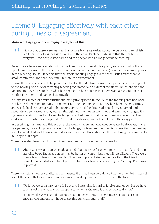### Theme 9: Engaging effectively with each other during times of disagreement

#### **Many meetings gave encouraging examples of this:**

 $\sqrt{2}$ 'I know that there were tears and factions a few years earlier about the decision to refurbish. But because of those tensions we asked the consultants to make sure that they talked to everyone – the people who came and the people who no longer came to Meeting.'

Recent years have seen debates within the Meeting about an alcohol policy (a no alcohol policy is upheld, in response to the experience of a former alcoholic) and a piano (there is now a grand piano in the Meeting House). It seems that the whole meeting engages with these issues rather than a small committee, and that they gain life from the engagement.

During the consideration of the project to develop the Meeting House, the open elders' meeting led to the holding of a crucial threshing meeting facilitated by an external facilitator, which enabled the Meeting to move forward from what had seemed to be an impasse. [There was] a recognition that conflict is 'normal' and can lead to growth.

A story was shared of a very difficult and disruptive episode in the life of the meeting that had been costly and distressing for many in the meeting. The meeting felt that they had been lovingly, firmly and wisely held through a really challenging time; the difficulties had been known, named and faced; they been talked about, worked through and the meeting felt they had emerged stronger. Their systems and structures had been challenged and had been found to be robust and effective. The clerks were described as people who 'refused to walk away and refused to take the easy path'.

In describing this time and this process, the word 'challenging' was used repeatedly. However, it was by openness, by a willingness to face this challenge, to listen and be open to others that the meeting learnt a great deal and it was regarded as an experience through which the meeting grew significantly in its spiritual depth.

There have also been conflicts, and they have been acknowledged and stayed with.

" 'About 8 or 9 years ago we made a stand about serving for only three years in a role, and then standing back. The next person may be better or worse – but they will be different. There were one or two bruises at the time, but it was an important step in the growth of the Meeting. Some Friends didn't want to let go. It led to one or two people leaving the Meeting. But it was important.'

There was still a memory of rifts and arguments that had been very difficult at the time. Being honest about those conflicts was important as a way of working more constructively in the future.

 $\sqrt{2}$ 'We know we get it wrong; we fall out and I often find it hard to forgive and let go. But we have to let go of our egos and worshipping together as Quakers is a good way to do that.'

'It's been like waves; good patches, rough patches. They all blend together. You just need enough love and enough hope to get through that rough stuff.'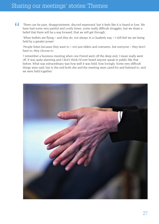### Sharing our meetings' stories: Themes

 $\overline{11}$ 'There can be pain, disappointment, discord expressed, but it feels like it is heard in love. We have had some very painful and costly times, some really difficult struggles, but we share a belief that there will be a way forward, that we will get through.'

'When bullets are flying – and they do, not always in a Quakerly way – I still feel we are being held by a greater power.'

'People listen because they want to – not just elders and overseers, but everyone – they don't have to, they choose to.'

'I remember a business meeting when one Friend went off the deep end; I mean really went off. It was quite alarming and I don't think I'd ever heard anyone speak in public like that before. What was extraordinary was how well it was held, how lovingly. Some very difficult things were said, but in the end both she and the meeting were cared for and listened to, and we were held together.'

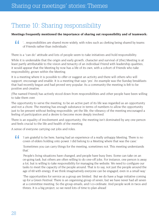### Theme 10: Sharing responsibility

#### **Meetings frequently mentioned the importance of sharing out responsibility and of teamwork:**

44 '…responsibilities are shared more widely, with roles such as clerking being shared by teams of Friends rather than individuals.'

There is a "can do" attitude and lots of people seem to take initiatives and hold responsibility.

While it is undeniable that the origin and early growth, character and survival of [the] Meeting is at least partly attributable to the vision and tenacity of an individual Friend with leadership qualities, it would appear that the Meeting by now has a life of its own, with a cohort of Friends who take responsibility, grown within the Meeting.

It is a meeting where it is possible to offer or suggest an activity and there will others who will support, encourage and enable. It is a meeting that says 'yes'. An example was the Sunday breakfasts that had recently begun and had proved very popular. As a community the meeting is felt to be positive and creative.

[The named Friend] has actively stood down from responsibilities and other people have been willing to take them over.

The opportunity to serve the meeting, to be an active part of its life was regarded as an opportunity and not a chore. The meeting has enough substance in terms of numbers to allow the opportunity just to be present without feeling responsible; yet the life, the vibrancy of the meeting encouraged a feeling of participation and a desire to become more deeply involved.

There is an equality of involvement and opportunity; the meeting isn't dominated by any one person and feels crucial to the life and health of the meeting.

A sense of everyone carrying out jobs and roles.

 $\sqrt{2}$ 'I am grateful to be here, having had an experience of a really unhappy Meeting. There is no coven of elders holding onto power. I did belong to a Meeting where that was the case.'

'Sometimes you can carry things for the meeting, sometimes not. This meeting understands that.'

'People's living situations have changed, and people have busy lives. Some can take on an on-going task, but others are often willing to do one-off jobs. For instance, one person is away a lot, but is willing to take responsibility for managing the website. We need to configure our tasks to meet the capacity of the people around. That is to say, not just the people around the age of 60 with energy. If we think imaginatively everyone can be engaged, even in a small way.'

'The opportunities for service as a group are limited. But we do have a huge initiative coming up for a Green Festival. There is an organising group of seven, but we have never had all seven at a committee meeting. So the group emails, and I co-ordinate. And people work in twos and threes. It is a big project, so we need lots of time to plan ahead.'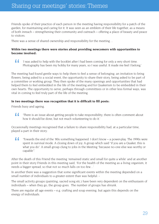### Sharing our meetings' stories: Themes

Friends spoke of their practice of each person in the meeting having responsibility for a patch of the garden, for maintaining and caring for it. It was seen as an emblem of their life together, as a means of both inreach – strengthening their community and outreach – offering a place of beauty and peace to visitors.

There was a sense of shared ownership and responsibility for the meeting…

#### **Within two meetings there were stories about providing newcomers with opportunities to become involved:**

 $\sqrt{2}$ 'I was asked to help with the booklet after I had been coming for only a very short time. Photography has been my hobby for many years, so I was useful. It made me feel I belong.'

The meeting had found gentle ways to help them to feel a sense of belonging; an invitation to bring flowers, being asked to a social event, the opportunity to share their story, being asked to be part of a committee or working group. They then spoke of the many openings and opportunities that had helped them to feel embedded in the life of the meeting and for Quakerism to be embedded in their own hearts. The opportunity to serve, perhaps through committees or in other less formal ways, was vital in coming to feel truly part of the life of the meeting.

#### **In two meetings there was recognition that it is difficult to fill posts:**

Friends busy and ageing.

44 'There is an issue about getting people to take responsibility; there is often comment about how it should be done, but not much volunteering to do it.'

Occasionally meetings recognised that a failure to share responsibility had, at a particular time, played a part in their story:

 $\sim$ 'Towards the end of the '80s something happened. I don't know – a power-play. The 1990s were spent in survival mode. A closing down of joy. A group which said "if you are a Quaker, this is what you do". A small group clung to jobs in the Meeting "because no-one else was worthy or capable".'

After the death of this Friend the meeting 'remained static and small for quite a while' and at another point in their story Friends in this meeting said, 'For the health of the meeting as a living organism, it needs a bigger spread, so that not so much falls on too few…'

In another there was a suggestion that some significant events within the meeting depended on a small number of individuals to a greater extent than was helpful: -

The small activity groups (painting, sacred song etc.) have been very dependent on the enthusiasm of individuals – when they go, the group goes. The number of groups has shrunk.

There are regular all age events – e.g. crafting and soup evening; but again this depends on the energy of individuals.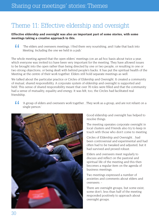### Theme 11: Effective eldership and oversight

#### **Effective eldership and oversight was also an important part of some stories, with some meetings taking a creative approach to this.**

 $\overline{1}$ 'The elders and overseers meetings. I find them very nourishing, and I take that back into Meeting. Including the one we held in a pub.'

The whole meeting agreed that the open elders' meetings (on an ad hoc basis about twice a year, which everyone was invited to) have been very important for the meeting. They have allowed issues to be brought into the open rather than being directed by one or two people, or resulting in one or two strong objections, or being dealt with behind people's backs. It has put the spiritual health of the Meeting at the centre of their work together. Elders still hold separate meetings as well.

We talked about the particular practice or Circles of Eldership and Oversight. It created a community of mutual, shared responsibility. A corporate system of eldership and oversight is supported and held. This sense of shared responsibility meant that over 70 roles were filled and that the community had a sense of mutuality, equality and energy. It was felt, too, the Circles had facilitated real friendship.

 $\sqrt{2}$ 'A group of elders and overseers work together…They work as a group, and are not reliant on a single person.'



Good eldership and oversight has helped to resolve things.

The meeting operates corporate oversight in local clusters and Friends also try to keep in touch with those who don't come to meeting.

Circles of Eldership and Oversight…had been controversial and experimental and had often had to be tweaked and adjusted, but it had survived and proved robust.

Elders and overseers meet regularly to discuss and reflect on the pastoral and spiritual life of the meeting and this then becomes a regular item on the agenda of business meetings.

Two meetings expressed a number of anxieties and comments about elders and overseers: -

There are oversight groups, but some exist, some don't; less than half of the meeting responded positively to approach about oversight groups.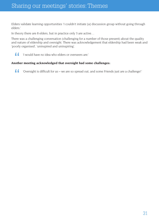Elders validate learning opportunities 'I couldn't initiate [a] discussion group without going through elders.'

In theory there are 8 elders, but in practice only 3 are active…

There was a challenging conversation (challenging for a number of those present) about the quality and nature of eldership and oversight. There was acknowledgement that eldership had been weak and 'poorly organised', 'uninspired and uninspiring'.

 $\sqrt{2}$ 'I would have no idea who elders or overseers are.'

#### **Another meeting acknowledged that oversight had some challenges:**

'Oversight is difficult for us – we are so spread out, and some Friends just are a challenge!'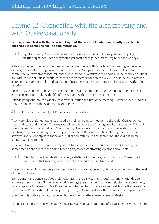### Theme 12: Connection with the area meeting and with Quakers nationally

#### **Feeling connected with the area meeting and the work of Quakers nationally was clearly important to some Friends in some meetings:**

 $\sqrt{2}$ 'I go to as many Area Meetings as I can. You learn so much. I think you have to get your attitude right, not 'I wish they would get their act together', rather, try to see it as a day out.'

Although the key founder of the meeting, no longer has an official role in the meeting, eg as elder or clerk, he is still a strong presence in the meeting. As a past member of Quaker Life central committee, a Swarthmore lecturer, and a past Friend in Residence at Pendle Hill, he provides a direct link with the wider Quaker world in Britain Yearly Meeting and in the USA. He also helps to provide a constant stream of books and Quaker publications which are circulated and discussed within the meeting.

Links to AM were felt to be good; [The Meeting] is a large meeting and a confident one and makes a good contribution to the wider life of the AM and with the Yearly Meeting too.

Friends going out into the wider Quaker world [enrich the life of the meeting]– committees, Kindlers, BYM – being part of the wider family of Friends.

'The wider community of Friends is also important…'

They were also enriched and encouraged by their sense of connection to the wider Quaker world, both in Britain and beyond. They expressed reserve about the 'management structures' of BYM but valued being part of a worldwide Quaker family. Having a sense of themselves as a strong, cohesive meeting, they have a willingness to support the life of the Area Meeting, sharing their sense of strength and fellowship with the wider Quaker community. At the same time, the AM has been supportive of them, too.

However, it was obviously far less important to some Friends in a number of other meetings and sometimes Friends within the same meeting expressed contrasting opinions about this:-

 $\sqrt{2}$ 'Friends in the Area Meeting are very satisfied with their way of doing things. There is not much life in that meeting, and I am not attracted to spend time on it.'

…even long-standing members rarely engaged with area gatherings or felt any connection to the work of Friends House.

Some continuing concerns about relations with the Area Meeting (though not many Friends seem to have a view on this). Some other local Meetings are struggling but seem reluctant to accept help, for example with outreach. One Friend asked whether, having received support from other meetings themselves, Friends should now be putting energy into support for other smaller meetings in the AM.

One Friend is active at a national level, but few Friends attend Area or Yearly Meeting.

The relationship with the wider Yearly Meeting was seen as something of a two-edged sword. In some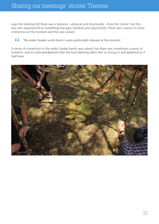ways the meeting felt there was a distance – physical and structurally – from the 'centre', but this was also experienced as something that gave freedom and opportunity. There was a sense of closer connection at the moment and this was valued.

 $\sqrt{2}$ 'The wider Quaker world doesn't seem particularly relevant at the moment.'

A sense of connection to the wider Quaker family was valued, but there was sometimes a sense of isolation, and an acknowledgement that the Area Meeting didn't feel as strong or well-gathered as it had been.